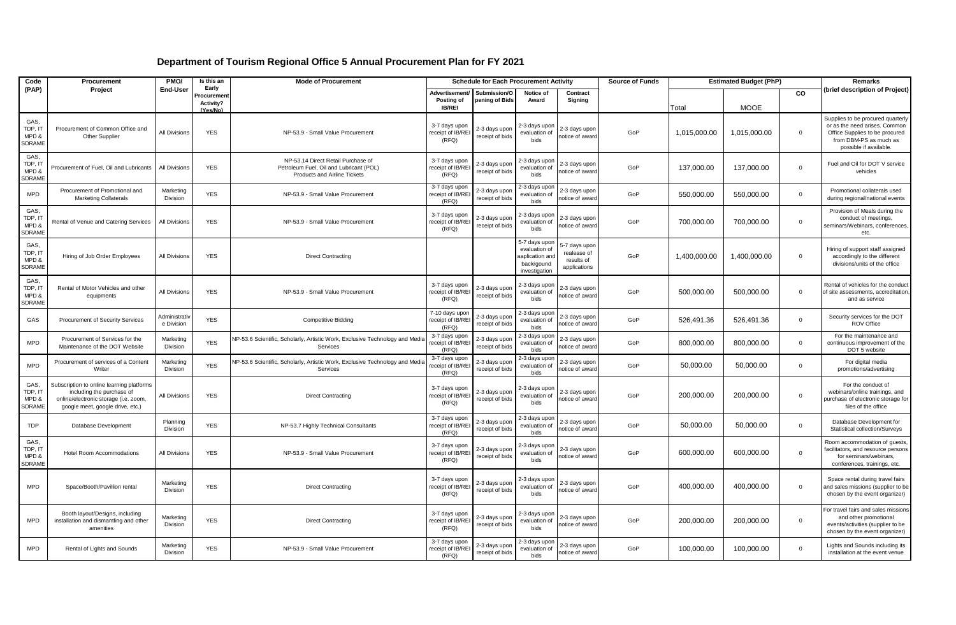| Code                                      | Procurement                                                                                                                                         | PMO/                         | Is this an<br>Early   | <b>Mode of Procurement</b>                                                                                           | <b>Schedule for Each Procurement Activity</b> |                                  |                                                                                  |                                                           | <b>Source of Funds</b> | <b>Estimated Budget (PhP)</b> |              |              | Remarks                                                                                                                                                  |
|-------------------------------------------|-----------------------------------------------------------------------------------------------------------------------------------------------------|------------------------------|-----------------------|----------------------------------------------------------------------------------------------------------------------|-----------------------------------------------|----------------------------------|----------------------------------------------------------------------------------|-----------------------------------------------------------|------------------------|-------------------------------|--------------|--------------|----------------------------------------------------------------------------------------------------------------------------------------------------------|
| (PAP)                                     | Project                                                                                                                                             | End-User                     | rocuremen             |                                                                                                                      | Advertisement/ Submission/O<br>Posting of     | pening of Bids                   | Notice of<br>Award                                                               | Contract<br>Signing                                       |                        |                               |              | CO           | (brief description of Project)                                                                                                                           |
|                                           |                                                                                                                                                     |                              | Activity?<br>(Yes/No) |                                                                                                                      | <b>IB/REI</b>                                 |                                  |                                                                                  |                                                           |                        | Total                         | <b>MOOE</b>  |              |                                                                                                                                                          |
| GAS,<br>TDP, IT<br>MPD &<br><b>SDRAME</b> | Procurement of Common Office and<br>Other Supplier                                                                                                  | <b>All Divisions</b>         | <b>YES</b>            | NP-53.9 - Small Value Procurement                                                                                    | 3-7 days upon<br>receipt of IB/RE<br>(RFQ)    | 2-3 days upon<br>receipt of bids | 2-3 days upon<br>evaluation of<br>bids                                           | 2-3 days upon<br>otice of award                           | GoP                    | 1,015,000.00                  | 1,015,000.00 | $\mathbf 0$  | Supplies to be procured quarterly<br>or as the need arises. Common<br>Office Supplies to be procured<br>from DBM-PS as much as<br>possible if available. |
| GAS,<br>TDP, IT<br>MPD &<br><b>SDRAME</b> | Procurement of Fuel, Oil and Lubricants                                                                                                             | <b>All Divisions</b>         | <b>YES</b>            | NP-53.14 Direct Retail Purchase of<br>Petroleum Fuel, Oil and Lubricant (POL)<br><b>Products and Airline Tickets</b> | 3-7 days upon<br>receipt of IB/REI<br>(RFO)   | 2-3 days upor<br>receipt of bids | 2-3 days upor<br>evaluation of<br>bids                                           | 2-3 days upon<br>otice of award                           | GoP                    | 137,000.00                    | 137,000.00   | $\mathbf{0}$ | Fuel and Oil for DOT V service<br>vehicles                                                                                                               |
| <b>MPD</b>                                | Procurement of Promotional and<br><b>Marketing Collaterals</b>                                                                                      | Marketing<br>Division        | <b>YES</b>            | NP-53.9 - Small Value Procurement                                                                                    | 3-7 days upon<br>receipt of IB/REI<br>(RFO)   | 2-3 days upor<br>receipt of bids | 2-3 days upor<br>evaluation of<br>bids                                           | 2-3 days upon<br>otice of award                           | GoP                    | 550,000.00                    | 550,000.00   | $\mathbf 0$  | Promotional collaterals used<br>during regional/national events                                                                                          |
| GAS,<br>TDP, IT<br>MPD &<br><b>SDRAME</b> | Rental of Venue and Catering Services                                                                                                               | All Divisions                | <b>YES</b>            | NP-53.9 - Small Value Procurement                                                                                    | 3-7 days upon<br>receipt of IB/REI<br>(RFQ)   | 2-3 days upon<br>receipt of bids | 2-3 days upon<br>evaluation of<br>bids                                           | 2-3 days upon<br>otice of award                           | GoP                    | 700,000.00                    | 700,000.00   | $\mathbf 0$  | Provision of Meals during the<br>conduct of meetings,<br>seminars/Webinars, conferences,<br>etc.                                                         |
| GAS,<br>TDP, IT<br>MPD &<br><b>SDRAME</b> | Hiring of Job Order Employees                                                                                                                       | All Divisions                | <b>YES</b>            | <b>Direct Contracting</b>                                                                                            |                                               |                                  | 5-7 days upon<br>evaluation of<br>aaplication and<br>backrgound<br>investigation | -7 days upor<br>realease of<br>results of<br>applications | GoP                    | 1.400.000.00                  | 1,400,000.00 | $\mathbf 0$  | Hiring of support staff assigned<br>accordingly to the different<br>divisions/units of the office                                                        |
| GAS,<br>TDP, IT<br>MPD &<br><b>SDRAME</b> | Rental of Motor Vehicles and other<br>equipments                                                                                                    | All Divisions                | <b>YES</b>            | NP-53.9 - Small Value Procurement                                                                                    | 3-7 days upon<br>receipt of IB/REI<br>(RFQ)   | 2-3 days upon<br>receipt of bids | 2-3 days upon<br>evaluation of<br>bids                                           | 2-3 days upon<br>otice of award                           | GoP                    | 500,000.00                    | 500,000.00   | $\mathbf 0$  | Rental of vehicles for the conduct<br>of site assessments, accreditation.<br>and as service                                                              |
| GAS                                       | Procurement of Security Services                                                                                                                    | Administrati<br>e Division   | <b>YES</b>            | <b>Competitive Bidding</b>                                                                                           | 7-10 days upon<br>receipt of IB/REI<br>(RFO)  | 2-3 days upon<br>receipt of bids | 2-3 days upor<br>evaluation of<br>bids                                           | 2-3 days upon<br>otice of award                           | GoP                    | 526,491.36                    | 526,491.36   | $\mathbf 0$  | Security services for the DOT<br><b>ROV Office</b>                                                                                                       |
| <b>MPD</b>                                | Procurement of Services for the<br>Maintenance of the DOT Website                                                                                   | Marketing<br>Division        | <b>YES</b>            | NP-53.6 Scientific, Scholarly, Artistic Work, Exclusive Technology and Media<br>Services                             | 3-7 days upon<br>eceipt of IB/REI<br>(RFQ)    | 2-3 days upor<br>receipt of bids | 2-3 days upor<br>evaluation of<br>bids                                           | 2-3 days upon<br>otice of award                           | GoP                    | 800,000.00                    | 800,000.00   | $\mathbf 0$  | For the maintenance and<br>continuous improvement of the<br>DOT 5 website                                                                                |
| <b>MPD</b>                                | Procurement of services of a Content<br>Writer                                                                                                      | Marketing<br>Division        | <b>YES</b>            | VP-53.6 Scientific, Scholarly, Artistic Work, Exclusive Technology and Media<br>Services                             | 3-7 days upon<br>receipt of IB/REI<br>(RFQ)   | 2-3 days upor<br>receipt of bids | 2-3 days upor<br>evaluation of<br>bids                                           | 2-3 days upon<br>otice of award                           | GoP                    | 50,000.00                     | 50,000.00    | $\Omega$     | For digital media<br>promotions/advertising                                                                                                              |
| GAS,<br>TDP, IT<br>MPD &<br><b>SDRAME</b> | Subscription to online learning platforms<br>including the purchase of<br>online/electronic storage (i.e. zoom,<br>google meet, google drive, etc.) | All Divisions                | <b>YES</b>            | <b>Direct Contracting</b>                                                                                            | 3-7 days upon<br>receipt of IB/REI<br>(RFQ)   | 2-3 days upon<br>receipt of bids | 2-3 days upon<br>evaluation of<br>bids                                           | 2-3 days upon<br>notice of award                          | GoP                    | 200,000.00                    | 200,000.00   | $\mathbf 0$  | For the conduct of<br>webinars/online trainings, and<br>purchase of electronic storage for<br>files of the office                                        |
| <b>TDP</b>                                | Database Development                                                                                                                                | Planning<br>Division         | <b>YES</b>            | NP-53.7 Highly Technical Consultants                                                                                 | 3-7 days upon<br>receipt of IB/REI<br>(RFQ)   | 2-3 days upor<br>receipt of bids | 2-3 days upon<br>evaluation of<br>bids                                           | 2-3 days upon<br>otice of award                           | GoP                    | 50,000.00                     | 50,000.00    | $\mathbf 0$  | Database Development for<br>Statistical collection/Surveys                                                                                               |
| GAS,<br>TDP, IT<br>MPD &<br><b>SDRAME</b> | <b>Hotel Room Accommodations</b>                                                                                                                    | All Divisions                | <b>YES</b>            | NP-53.9 - Small Value Procurement                                                                                    | 3-7 days upon<br>eceipt of IB/REI<br>(RFQ)    | 2-3 days upon<br>receipt of bids | 2-3 days upon<br>evaluation of<br>bids                                           | 2-3 days upon<br>otice of award                           | GoP                    | 600,000.00                    | 600,000.00   | $\mathbf 0$  | Room accommodation of quests.<br>facilitators, and resource persons<br>for seminars/webinars,<br>conferences, trainings, etc.                            |
| <b>MPD</b>                                | Space/Booth/Pavillion rental                                                                                                                        | Marketing<br><b>Division</b> | <b>YES</b>            | <b>Direct Contracting</b>                                                                                            | 3-7 days upon<br>receipt of IB/REI<br>(RFQ)   | 2-3 days upon<br>receipt of bids | 2-3 days upon<br>evaluation of<br>bids                                           | 2-3 days upon<br>notice of award                          | GoP                    | 400,000.00                    | 400,000.00   | $\mathbf 0$  | Space rental during travel fairs<br>and sales missions (supplier to be<br>chosen by the event organizer)                                                 |
| <b>MPD</b>                                | Booth layout/Designs, including<br>installation and dismantling and other<br>amenities                                                              | Marketing<br>Division        | <b>YES</b>            | <b>Direct Contracting</b>                                                                                            | 3-7 days upon<br>receipt of IB/REI<br>(RFQ)   | 2-3 days upon<br>receipt of bids | 2-3 days upon<br>evaluation of<br>bids                                           | 2-3 days upon<br>notice of award                          | GoP                    | 200,000.00                    | 200,000.00   | $\mathbf 0$  | For travel fairs and sales missions<br>and other promotional<br>events/activities (supplier to be<br>chosen by the event organizer)                      |
| <b>MPD</b>                                | Rental of Lights and Sounds                                                                                                                         | Marketing<br>Division        | <b>YES</b>            | NP-53.9 - Small Value Procurement                                                                                    | 3-7 days upon<br>receipt of IB/REI<br>(RFQ)   | 2-3 days upon<br>receipt of bids | 2-3 days upor<br>evaluation of<br>bids                                           | 2-3 days upon<br>notice of award                          | GoP                    | 100.000.00                    | 100,000.00   | $\mathbf 0$  | Lights and Sounds including its<br>installation at the event venue                                                                                       |

## **Department of Tourism Regional Office 5 Annual Procurement Plan for FY 2021**